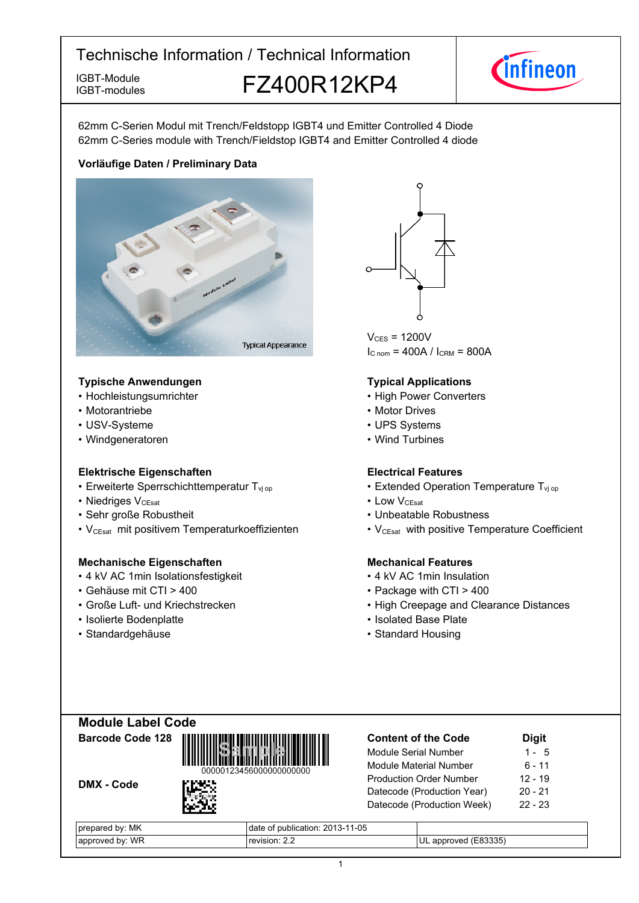IGBT-modules

IGBT-Module **FZ400R12KP4** 



62mm C-Serien Modul mit Trench/Feldstopp IGBT4 und Emitter Controlled 4 Diode 62mm C-Series module with Trench/Fieldstop IGBT4 and Emitter Controlled 4 diode

### **Vorläufige-Daten-/-Preliminary-Data**



#### **Typische-Anwendungen Typical-**

- Hochleistungsumrichter
- Motorantriebe
- USV-Systeme
- Windgeneratoren

### **Elektrische Eigenschaften Electrical-**

- Erweiterte Sperrschichttemperatur T<sub>vj</sub>
- Niedriges  $V_{CEsat}$
- Sehr große
- V<sub>CEsat</sub> mit positivem Temperaturkoeffizienten V<sub>CEsat</sub>

### **Mechanische Eigenschaften Mechanical-**

- 4 kV AC 1 min Isolationsfestigkeit 4
- Gehäuse mit CTI >
- Große Luft- und Kriechstrecken High
- Isolierte Bodenplatte Isolated
- Standardgehäuse



 $V_{CFS}$  = 1200V  $I_{C \text{ nom}} = 400A / I_{CRM} = 800A$ 

### **Typical Applications**

- Power Converters
- Motor Drives
- UPS Systems
- Wind Turbines

### **Electrical Features**

- op  **Extended Operation Temperature T**<sub>vj op</sub>
- V<sub>CEsat</sub> Low  $\cdot$  LOW  $V_{C \text{Test}}$ 
	- Robustheit  **Unbeatable Robustness Unbeatable** Robustness
		- with positive Temperature Coefficient

### **Mechanical Features**

- kV-AC-1min-Insulation
- 400 Package with CTI > 400
	- Creepage and Clearance Distances
	- Base-Plate
	- Standard Housing

### **Module-Label-Code Barcode-Code-128**







| МK<br>bv:<br>nareo.       | $-11 - 05$<br>publication: 2013-1<br>uale |                        |
|---------------------------|-------------------------------------------|------------------------|
| WR<br>hv<br>™oveu<br>appr | 221121222                                 | `335.<br>ے م<br>٦r<br> |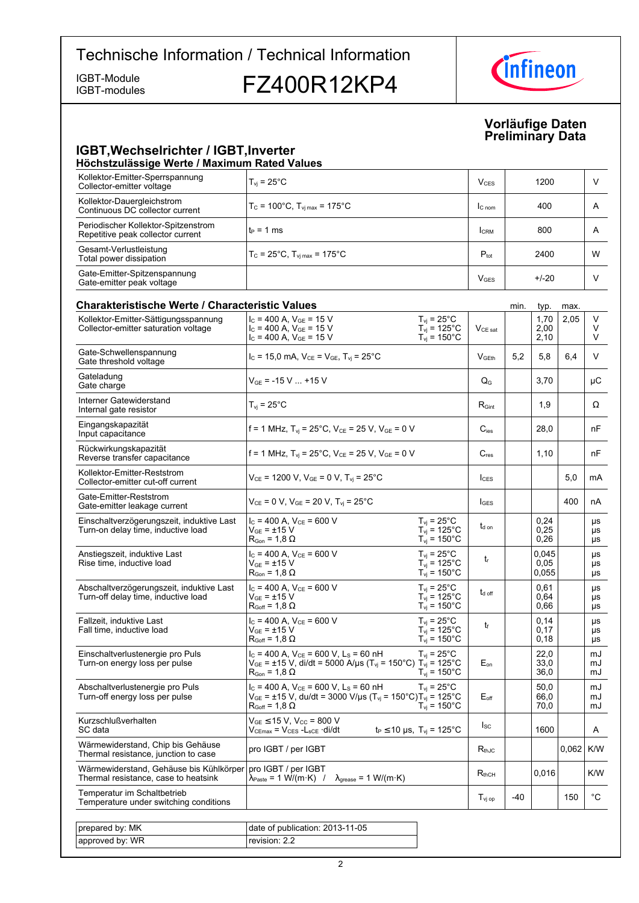IGBT-modules

approved by: WR

IGBT-Module<br>IGBT-modules **FZ400R12KP4** 



### **Vorläufige-Daten Preliminary-Data**

#### **IGBT, Wechselrichter / IGBT, Inverter Höchstzulässige-Werte-/-Maximum-Rated-Values**

| поопосеаназондо ттогео линалинант гласоа танаоз                                 |                                                                                                                                                                                                                                     |                                       |      |                        |       |                     |
|---------------------------------------------------------------------------------|-------------------------------------------------------------------------------------------------------------------------------------------------------------------------------------------------------------------------------------|---------------------------------------|------|------------------------|-------|---------------------|
| Kollektor-Emitter-Sperrspannung<br>Collector-emitter voltage                    | $T_{vi}$ = 25 $^{\circ}$ C                                                                                                                                                                                                          | <b>V<sub>CES</sub></b>                |      | 1200                   |       | V                   |
| Kollektor-Dauergleichstrom<br>Continuous DC collector current                   | $T_c = 100^{\circ}$ C. T <sub>vi max</sub> = 175 $^{\circ}$ C                                                                                                                                                                       | $\mathsf{I}_{\mathsf{C} \text{ nom}}$ |      | 400                    |       | A                   |
| Periodischer Kollektor-Spitzenstrom<br>Repetitive peak collector current        | $t_P = 1$ ms                                                                                                                                                                                                                        | <b>I</b> CRM                          |      | 800                    |       | A                   |
| Gesamt-Verlustleistung<br>Total power dissipation                               | $T_c$ = 25°C, $T_{\rm vi \, max}$ = 175°C                                                                                                                                                                                           | $P_{\text{tot}}$                      |      | 2400                   |       | W                   |
| Gate-Emitter-Spitzenspannung<br>Gate-emitter peak voltage                       |                                                                                                                                                                                                                                     | $V_{\text{GES}}$                      |      | $+/-20$                |       | V                   |
| <b>Charakteristische Werte / Characteristic Values</b>                          |                                                                                                                                                                                                                                     |                                       | min. | typ.                   | max.  |                     |
| Kollektor-Emitter-Sättigungsspannung                                            | $I_C = 400$ A, $V_{GE} = 15$ V<br>$T_{\rm vj}$ = 25°C                                                                                                                                                                               |                                       |      | 1,70                   | 2,05  | V                   |
| Collector-emitter saturation voltage                                            | $I_C = 400$ A, $V_{GE} = 15$ V                                                                                                                                                                                                      |                                       |      | 2,00                   |       | V                   |
|                                                                                 | $T_{vi}$ = 125°C                                                                                                                                                                                                                    | $V_{CE\ sat}$                         |      |                        |       | V                   |
|                                                                                 | $T_{\text{vj}}$ = 150°C<br>$I_c = 400$ A, $V_{GE} = 15$ V                                                                                                                                                                           |                                       |      | 2,10                   |       |                     |
| Gate-Schwellenspannung<br>Gate threshold voltage                                | $I_c = 15.0$ mA, $V_{CE} = V_{GE}$ , $T_{vi} = 25^{\circ}$ C                                                                                                                                                                        | V <sub>GEth</sub>                     | 5,2  | 5,8                    | 6,4   | V                   |
| Gateladung<br>Gate charge                                                       | $V_{GE}$ = -15 V  +15 V                                                                                                                                                                                                             | $\mathsf{Q}_{\mathsf{G}}$             |      | 3,70                   |       | μC                  |
| Interner Gatewiderstand<br>Internal gate resistor                               | $T_{\rm vj}$ = 25°C                                                                                                                                                                                                                 | $R_{Gint}$                            |      | 1,9                    |       | Ω                   |
| Eingangskapazität<br>Input capacitance                                          | f = 1 MHz, $T_{vi}$ = 25°C, $V_{CE}$ = 25 V, $V_{GE}$ = 0 V                                                                                                                                                                         | $C_{\text{ies}}$                      |      | 28,0                   |       | nF                  |
| Rückwirkungskapazität<br>Reverse transfer capacitance                           | f = 1 MHz, $T_{vi}$ = 25°C, $V_{CE}$ = 25 V, $V_{GE}$ = 0 V                                                                                                                                                                         | $C_{res}$                             |      | 1,10                   |       | nF                  |
| Kollektor-Emitter-Reststrom<br>Collector-emitter cut-off current                | $V_{CE}$ = 1200 V, $V_{GE}$ = 0 V, $T_{vi}$ = 25°C                                                                                                                                                                                  | $I_{\text{CES}}$                      |      |                        | 5,0   | mA                  |
| Gate-Emitter-Reststrom<br>Gate-emitter leakage current                          | $V_{CE} = 0 V$ , $V_{GE} = 20 V$ , $T_{vi} = 25^{\circ}C$                                                                                                                                                                           | $I_{\text{GES}}$                      |      |                        | 400   | nA                  |
| Einschaltverzögerungszeit, induktive Last<br>Turn-on delay time, inductive load | $I_C = 400$ A, $V_{CE} = 600$ V<br>$T_{\rm vj}$ = 25°C<br>$T_{\text{vj}}$ = 125°C<br>$V_{GE}$ = $\pm$ 15 V<br>$T_{vi}$ = 150 $^{\circ}$ C<br>$R_{\text{Gon}} = 1.8 \Omega$                                                          | $t_{d}$ on                            |      | 0,24<br>0.25<br>0,26   |       | μs<br>μs<br>μs      |
| Anstiegszeit, induktive Last<br>Rise time, inductive load                       | $I_C = 400$ A, $V_{CE} = 600$ V<br>$T_{vi}$ = 25°C<br>$V_{GF}$ = ±15 V<br>$T_{vi}$ = 125°C<br>$T_{vi}$ = 150 $^{\circ}$ C<br>$\mathsf{R}_{\mathsf{Gon}}$ = 1,8 $\Omega$                                                             | $t_{r}$                               |      | 0,045<br>0.05<br>0,055 |       | μs<br>μs<br>μs      |
| Abschaltverzögerungszeit, induktive Last<br>Turn-off delay time, inductive load | $I_C = 400$ A, $V_{CE} = 600$ V<br>$T_{\rm vj}$ = 25°C<br>$\rm V_{GE}$ = $\pm 15~\rm V$<br>$T_{vi}$ = 125°C<br>$R_{Goff}$ = 1,8 $\Omega$<br>$T_{\rm vj} = 150^{\circ}$ C                                                            | $t_{\text{d off}}$                    |      | 0,61<br>0.64<br>0,66   |       | μs<br>μs<br>μs      |
| Fallzeit, induktive Last<br>Fall time, inductive load                           | $I_c = 400$ A, $V_{ce} = 600$ V<br>$T_{vi}$ = 25 $^{\circ}$ C<br>$V_{GE}$ = $\pm$ 15 V<br>$T_{vi}$ = 125°C<br>$T_{\rm vj} = 150^{\circ}$ C<br>$R_{Goff}$ = 1,8 $\Omega$                                                             | $t_{\rm f}$                           |      | 0,14<br>0,17<br>0,18   |       | μs<br>μs<br>$\mu s$ |
| Einschaltverlustenergie pro Puls<br>Turn-on energy loss per pulse               | $I_c$ = 400 A, $V_{CE}$ = 600 V, L <sub>s</sub> = 60 nH<br>$T_{vi}$ = 25°C<br>$V_{GE}$ = ±15 V, di/dt = 5000 A/µs (T <sub>vj</sub> = 150°C) T <sub>vj</sub> = 125°C<br>$T_{vi}$ = 150 $^{\circ}$ C<br>$R_{\text{Gon}} = 1.8 \Omega$ | $E_{on}$                              |      | 22,0<br>33,0<br>36,0   |       | mJ<br>mJ<br>mJ      |
| Abschaltverlustenergie pro Puls<br>Turn-off energy loss per pulse               | $I_C = 400$ A, $V_{CE} = 600$ V, $L_S = 60$ nH<br>$T_{vi}$ = 25°C<br>$V_{GE}$ = ±15 V, du/dt = 3000 V/µs (T <sub>vj</sub> = 150°C)T <sub>vj</sub> = 125°C<br>$T_{\text{vj}}$ = 150°C<br>$\mathsf{R}_{\mathsf{Goff}}$ = 1,8 $\Omega$ | $E_{\text{off}}$                      |      | 50,0<br>66,0<br>70,0   |       | mJ<br>mJ<br>mJ      |
| Kurzschlußverhalten<br>SC data                                                  | $V_{GE}$ $\leq$ 15 V, V <sub>cc</sub> = 800 V<br>$t_P \le 10 \,\mu s$ , $T_{vi} = 125^{\circ}C$<br>Vc∈ <sub>max</sub> = Vc∈s -L <sub>sCE</sub> ·di/dt                                                                               | $I_{SC}$                              |      | 1600                   |       | A                   |
| Wärmewiderstand, Chip bis Gehäuse<br>Thermal resistance, junction to case       | pro IGBT / per IGBT                                                                                                                                                                                                                 | $R_{thJC}$                            |      |                        | 0,062 | K/W                 |
| Wärmewiderstand, Gehäuse bis Kühlkörper<br>Thermal resistance, case to heatsink | pro IGBT / per IGBT<br>λ <sub>Paste</sub> = 1 W/(m·K) /<br>$\lambda$ <sub>grease</sub> = 1 W/(m·K)                                                                                                                                  | $R_{thCH}$                            |      | 0,016                  |       | K/W                 |
| Temperatur im Schaltbetrieb<br>Temperature under switching conditions           |                                                                                                                                                                                                                                     | $T_{\mathsf{vj\,op}}$                 | -40  |                        | 150   | $^{\circ}$ C        |
| prepared by: MK                                                                 | date of publication: 2013-11-05                                                                                                                                                                                                     |                                       |      |                        |       |                     |

revision: 2.2

 $\overline{2}$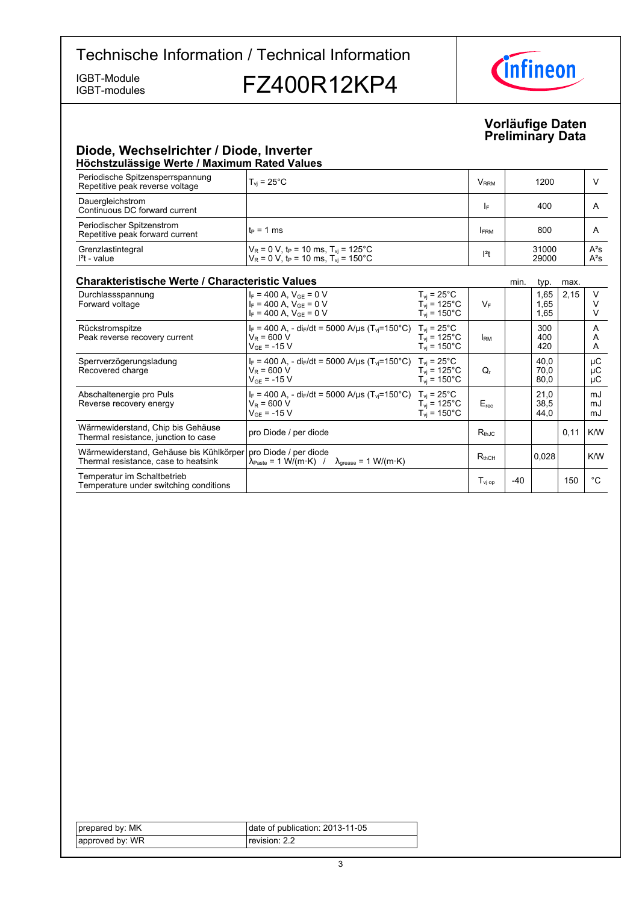IGBT-modules

## IGBT-Module<br>IGBT-modules **FZ400R12KP4**



### **Vorläufige-Daten Preliminary-Data**

### **Diode,-Wechselrichter-/-Diode,-Inverter Höchstzulässige-Werte-/-Maximum-Rated-Values**

| Periodische Spitzensperrspannung<br>Repetitive peak reverse voltage | $T_{\rm vi}$ = 25 $^{\circ}$ C                                                                                                        | <b>V</b> <sub>RRM</sub> | 1200           |                  |
|---------------------------------------------------------------------|---------------------------------------------------------------------------------------------------------------------------------------|-------------------------|----------------|------------------|
| Dauergleichstrom<br>Continuous DC forward current                   |                                                                                                                                       | I۴                      | 400            | A                |
| Periodischer Spitzenstrom<br>Repetitive peak forward current        | l t∍ = 1 ms                                                                                                                           | <b>FRM</b>              | 800            |                  |
| Grenzlastintegral<br>$I2t - value$                                  | $V_R = 0$ V, t <sub>P</sub> = 10 ms, T <sub>vj</sub> = 125°C<br>V <sub>R</sub> = 0 V, t <sub>P</sub> = 10 ms, T <sub>vj</sub> = 150°C | $12$ t                  | 31000<br>29000 | $A^2S$<br>$A^2S$ |

### **Charakteristische Werte / Characteristic**

| <b>Charakteristische Werte / Characteristic Values</b><br>min.<br>max.<br>typ.  |                                                                                                                                          |                                                                                   |                                                     |       |                      |      |                |
|---------------------------------------------------------------------------------|------------------------------------------------------------------------------------------------------------------------------------------|-----------------------------------------------------------------------------------|-----------------------------------------------------|-------|----------------------|------|----------------|
| Durchlassspannung<br>Forward voltage                                            | $I_F = 400$ A, $V_{GF} = 0$ V<br>$I_F = 400$ A, $V_{GE} = 0$ V<br>$I_F = 400$ A, $V_{GE} = 0$ V                                          | $T_{vi}$ = 25°C<br>$T_{vi}$ = 125 $^{\circ}$ C<br>$T_{\rm vi}$ = 150 $^{\circ}$ C | $V_F$                                               |       | 1,65<br>1,65<br>1,65 | 2,15 | $\vee$         |
| Rückstromspitze<br>Peak reverse recovery current                                | $I_F = 400$ A, - di <sub>F</sub> /dt = 5000 A/us (T <sub>vi</sub> =150°C) T <sub>vi</sub> = 25°C<br>$V_R$ = 600 V<br>$V_{GF}$ = -15 V    | $T_{\rm vi}$ = 125°C.<br>$T_{\rm vi}$ = 150°C                                     | <b>IRM</b>                                          |       | 300<br>400<br>420    |      | A<br>A<br>A    |
| Sperrverzögerungsladung<br>Recovered charge                                     | $I_F = 400$ A, - di $_F/dt = 5000$ A/ $\mu s$ (T <sub>vi</sub> =150°C) T <sub>vi</sub> = 25°C<br>$V_{\rm B}$ = 600 V<br>$V_{GF}$ = -15 V | $T_{vi}$ = 125°C<br>$T_{\rm vi}$ = 150°C.                                         | Q,                                                  |       | 40,0<br>70,0<br>80,0 |      | μC<br>μC<br>μC |
| Abschaltenergie pro Puls<br>Reverse recovery energy                             | $I_F = 400$ A, - di <sub>F</sub> /dt = 5000 A/us (T <sub>vi</sub> =150°C) T <sub>vi</sub> = 25°C<br>$V_R$ = 600 V<br>$V_{GF}$ = -15 V    | $T_{vi}$ = 125°C<br>$T_{vi}$ = 150 $^{\circ}$ C                                   | $E_{rec}$                                           |       | 21,0<br>38,5<br>44,0 |      | mJ<br>mJ<br>mJ |
| Wärmewiderstand, Chip bis Gehäuse<br>Thermal resistance, junction to case       | pro Diode / per diode                                                                                                                    |                                                                                   | $R_{th,IC}$                                         |       |                      | 0,11 | K/W            |
| Wärmewiderstand, Gehäuse bis Kühlkörper<br>Thermal resistance, case to heatsink | pro Diode / per diode<br>$\lambda_{\text{Paste}} = 1 \text{ W/(m·K)}$ / $\lambda_{\text{grease}} = 1 \text{ W/(m·K)}$                    |                                                                                   | $R_{thCH}$                                          |       | 0,028                |      | K/W            |
| Temperatur im Schaltbetrieb<br>Temperature under switching conditions           |                                                                                                                                          |                                                                                   | $\mathsf{T}_{\mathsf{v} \mathsf{j} \; \mathsf{op}}$ | $-40$ |                      | 150  | °C             |

| prepared by: MK | date of publication: 2013-11-05 |
|-----------------|---------------------------------|
| approved by: WR | revision: 2.2                   |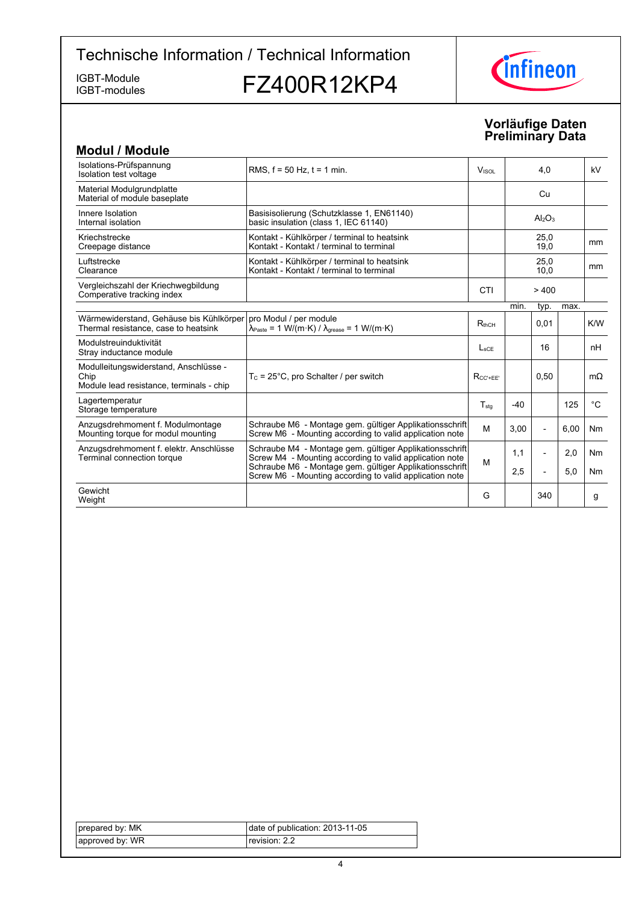IGBT-modules

IGBT-Module<br>IGBT-modules **FZ400R12KP4** 



### **Vorläufige-Daten Preliminary-Data**

| <b>Modul / Module</b>                                                                     |                                                                                                                      |                  |       |                                |      |                |
|-------------------------------------------------------------------------------------------|----------------------------------------------------------------------------------------------------------------------|------------------|-------|--------------------------------|------|----------------|
| Isolations-Prüfspannung<br>Isolation test voltage                                         | RMS, $f = 50$ Hz, $t = 1$ min.                                                                                       | VISOL            |       | 4,0                            |      | kV             |
| Material Modulgrundplatte<br>Material of module baseplate                                 |                                                                                                                      |                  |       | Cu                             |      |                |
| Innere Isolation<br>Internal isolation                                                    | Basisisolierung (Schutzklasse 1, EN61140)<br>basic insulation (class 1, IEC 61140)                                   |                  |       | Al <sub>2</sub> O <sub>3</sub> |      |                |
| Kriechstrecke<br>Creepage distance                                                        | Kontakt - Kühlkörper / terminal to heatsink<br>Kontakt - Kontakt / terminal to terminal                              |                  |       | 25,0<br>19,0                   |      | mm             |
| Luftstrecke<br>Clearance                                                                  | Kontakt - Kühlkörper / terminal to heatsink<br>Kontakt - Kontakt / terminal to terminal                              |                  |       | 25.0<br>10,0                   |      | mm             |
| Vergleichszahl der Kriechwegbildung<br>Comperative tracking index                         |                                                                                                                      | CTI              |       | >400                           |      |                |
|                                                                                           |                                                                                                                      |                  | min.  | typ.                           | max. |                |
| Wärmewiderstand, Gehäuse bis Kühlkörper<br>Thermal resistance, case to heatsink           | pro Modul / per module<br>$\lambda_{\text{Paste}} = 1 \text{ W/(m·K)} / \lambda_{\text{grease}} = 1 \text{ W/(m·K)}$ | $R_{thCH}$       |       | 0,01                           |      | K/W            |
| Modulstreuinduktivität<br>Stray inductance module                                         |                                                                                                                      | $L_{\rm sCF}$    |       | 16                             |      | nH             |
| Modulleitungswiderstand, Anschlüsse -<br>Chip<br>Module lead resistance, terminals - chip | $T_c = 25^{\circ}$ C, pro Schalter / per switch                                                                      | $R_{CC' + FF'}$  |       | 0,50                           |      | $m\Omega$      |
| Lagertemperatur<br>Storage temperature                                                    |                                                                                                                      | $T_{\text{stq}}$ | $-40$ |                                | 125  | $^{\circ}$ C   |
| Anzugsdrehmoment f. Modulmontage<br>Mounting torque for modul mounting                    | Schraube M6 - Montage gem. gültiger Applikationsschrift<br>Screw M6 - Mounting according to valid application note   | M                | 3,00  | $\overline{\phantom{a}}$       | 6,00 | N <sub>m</sub> |
| Anzugsdrehmoment f. elektr. Anschlüsse<br>Terminal connection torque                      | Schraube M4 - Montage gem. gültiger Applikationsschrift<br>Screw M4 - Mounting according to valid application note   | M                | 1,1   | $\overline{a}$                 | 2,0  | <b>Nm</b>      |
|                                                                                           | Schraube M6 - Montage gem. gültiger Applikationsschrift<br>Screw M6 - Mounting according to valid application note   |                  | 2,5   | $\overline{a}$                 | 5,0  | Nm             |
| Gewicht<br>Weight                                                                         |                                                                                                                      | G                |       | 340                            |      | g              |

| prepared by: MK | date of publication: 2013-11-05 |
|-----------------|---------------------------------|
| approved by: WR | revision: 2.2                   |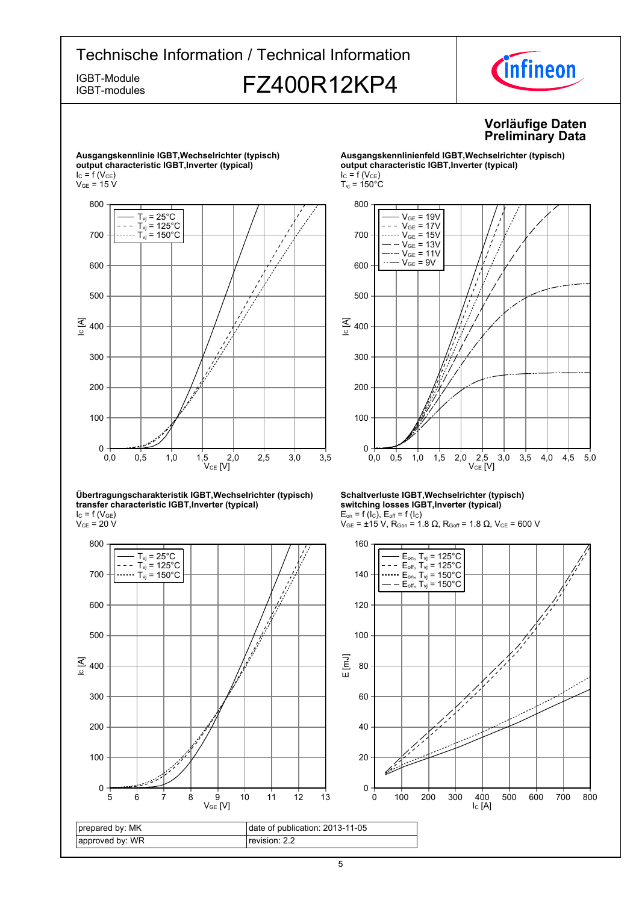IGBT-modules

# IGBT-Module<br>IGBT-modules **FZ400R12KP4**



### **Vorläufige-Daten Preliminary-Data**



#### **Übertragungscharakteristik-IGBT,Wechselrichter-(typisch) transfer-characteristic-IGBT,Inverter-(typical)**  $I_{C}$  = f (V<sub>GE</sub>)

 $\rm V_{CE}$  = 20 V



#### **Ausgangskennlinienfeld-IGBT,Wechselrichter-(typisch) output-characteristic-IGBT,Inverter-(typical)**  $I_C = f(V_{CE})$  $T_{\text{vj}}$  = 150 $^{\circ}$ C



#### **Schaltverluste-IGBT,Wechselrichter-(typisch) switching-losses-IGBT,Inverter-(typical)**  $E_{on}$  = f (l<sub>C</sub>),  $E_{off}$  = f (l<sub>C</sub>)

 $V_{GE}$  = ±15 V, R<sub>Gon</sub> = 1.8 Ω, R<sub>Goff</sub> = 1.8 Ω, V<sub>CE</sub> = 600 V

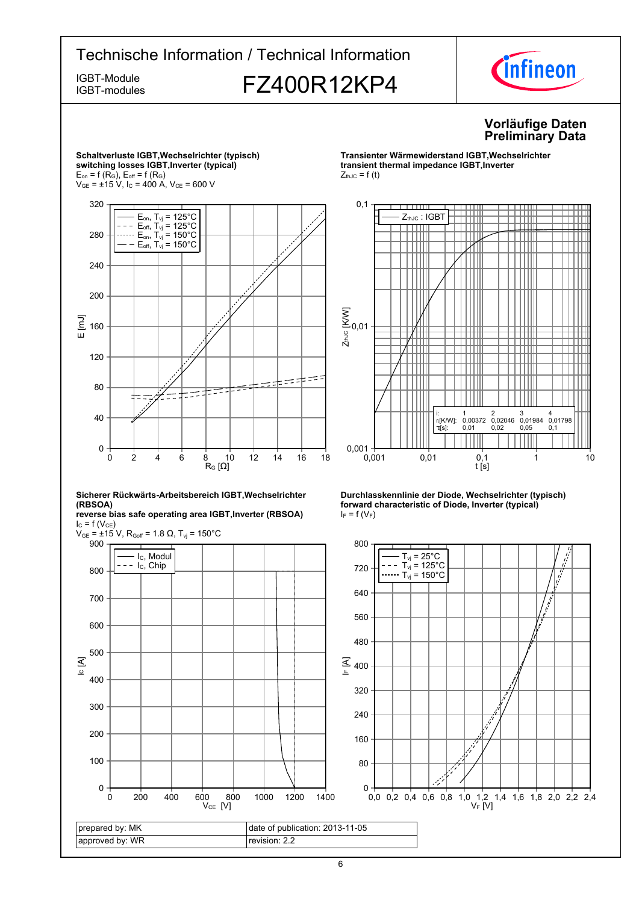## Technische Information / Technical Information IGBT-Module<br>IGBT-modules **FZ400R12KP4**



### **Vorläufige-Daten Preliminary-Data**



 $V_{CE}$  [V]

**Transienter-Wärmewiderstand-IGBT,Wechselrichtertransient thermal impedance IGBT, Inverter**  $Z_{thJC} = f(t)$ 







IC [A]

prepared by: MK approved by: WR

0

100

200

300

400

500

600

700

IGBT-modules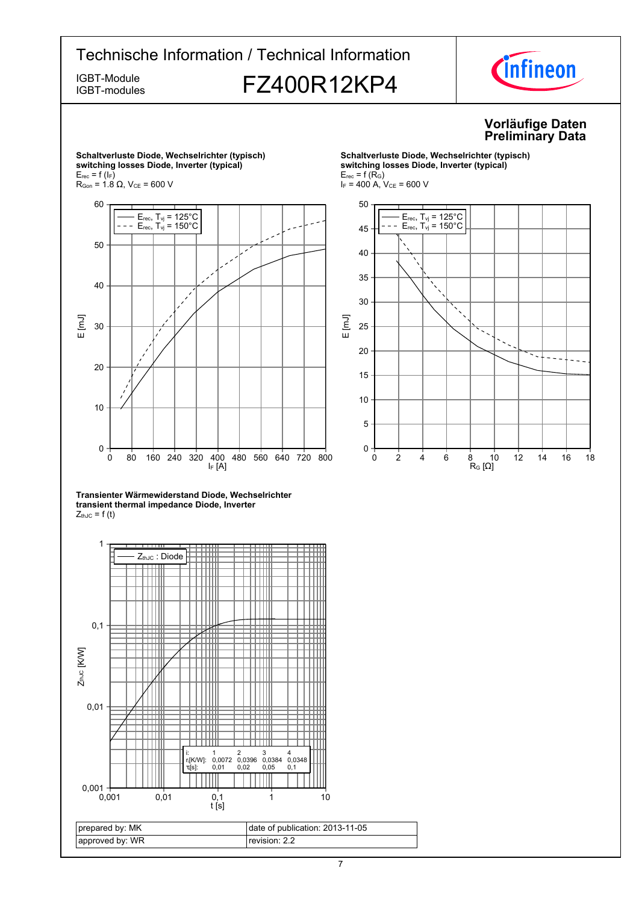IGBT-modules

# IGBT-Module **FZ400R12KP4**



### **Vorläufige-Daten Preliminary-Data**



**Schaltverluste-Diode,-Wechselrichter-(typisch)**

**Transienter-Wärmewiderstand-Diode,-Wechselrichtertransient thermal impedance Diode, Inverter**  $Z_{thJC} = f(t)$ 



**Schaltverluste-Diode,-Wechselrichter-(typisch)**  $s$ witching losses Diode, Inverter (typical)  $E_{rec}$  = f (R<sub>G</sub>)  $I_F = 400$  A,  $V_{CE} = 600$  V

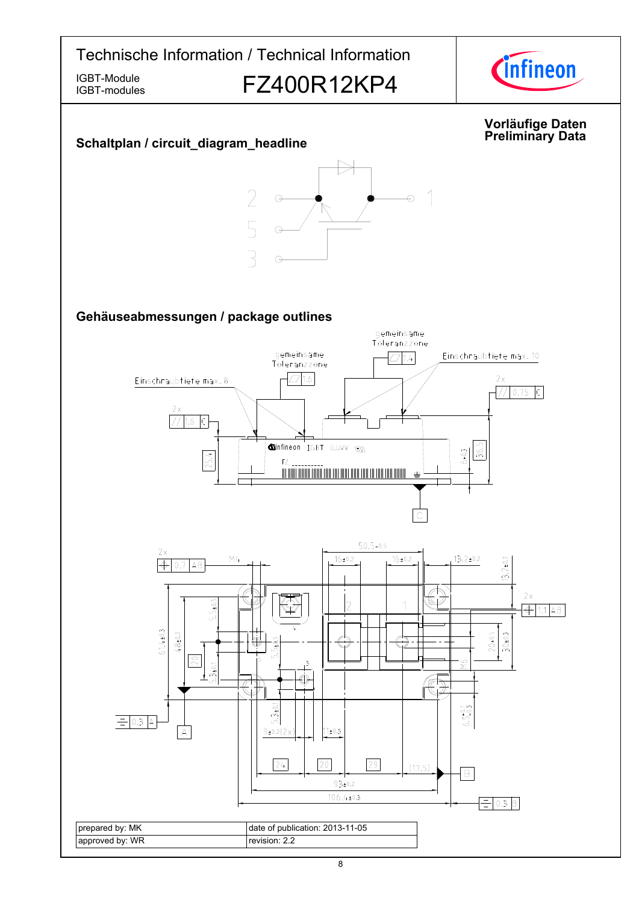

IGBT-modules

# IGBT-Module<br>IGBT-modules **FZ400R12KP4**